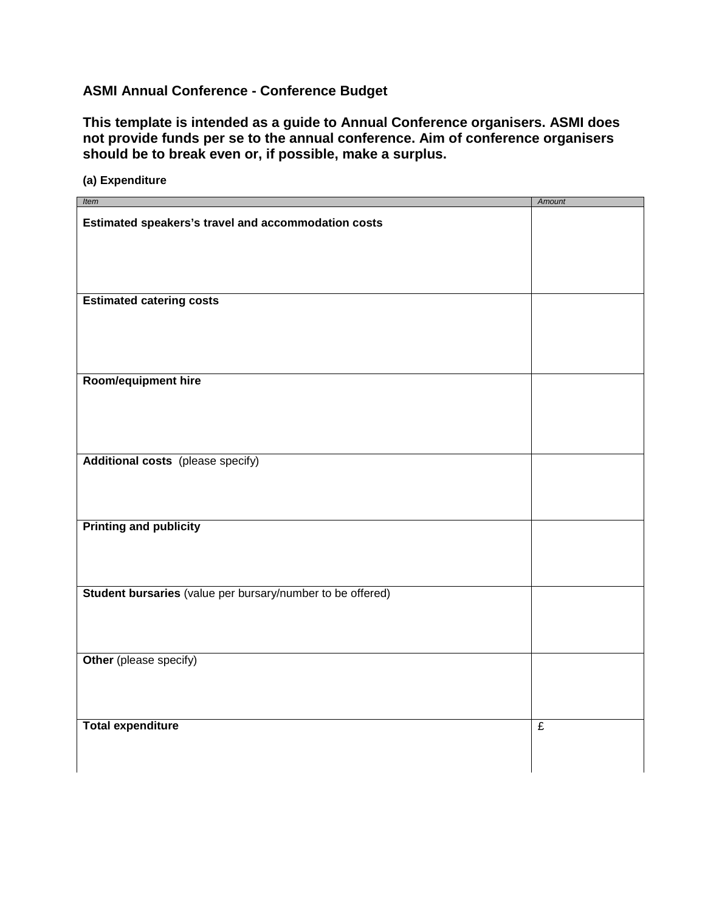# **ASMI Annual Conference - Conference Budget**

**(a) Expenditure**

**This template is intended as a guide to Annual Conference organisers. ASMI does not provide funds per se to the annual conference. Aim of conference organisers should be to break even or, if possible, make a surplus.**

| Item                                                       | <b>Amount</b>  |
|------------------------------------------------------------|----------------|
| Estimated speakers's travel and accommodation costs        |                |
|                                                            |                |
|                                                            |                |
| <b>Estimated catering costs</b>                            |                |
|                                                            |                |
| Room/equipment hire                                        |                |
|                                                            |                |
| <b>Additional costs</b> (please specify)                   |                |
|                                                            |                |
| <b>Printing and publicity</b>                              |                |
|                                                            |                |
|                                                            |                |
| Student bursaries (value per bursary/number to be offered) |                |
|                                                            |                |
| Other (please specify)                                     |                |
|                                                            |                |
| <b>Total expenditure</b>                                   | $\overline{f}$ |
|                                                            |                |